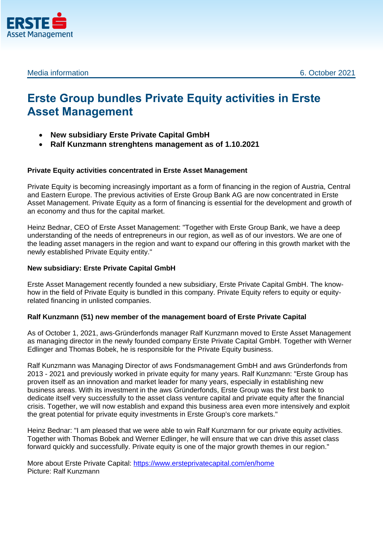



Media information 6. October 2021

# **Erste Group bundles Private Equity activities in Erste Asset Management**

- **New subsidiary Erste Private Capital GmbH**
- **Ralf Kunzmann strenghtens management as of 1.10.2021**

# **Private Equity activities concentrated in Erste Asset Management**

Private Equity is becoming increasingly important as a form of financing in the region of Austria, Central and Eastern Europe. The previous activities of Erste Group Bank AG are now concentrated in Erste Asset Management. Private Equity as a form of financing is essential for the development and growth of an economy and thus for the capital market.

Heinz Bednar, CEO of Erste Asset Management: "Together with Erste Group Bank, we have a deep understanding of the needs of entrepreneurs in our region, as well as of our investors. We are one of the leading asset managers in the region and want to expand our offering in this growth market with the newly established Private Equity entity."

## **New subsidiary: Erste Private Capital GmbH**

Erste Asset Management recently founded a new subsidiary, Erste Private Capital GmbH. The knowhow in the field of Private Equity is bundled in this company. Private Equity refers to equity or equityrelated financing in unlisted companies.

## **Ralf Kunzmann (51) new member of the management board of Erste Private Capital**

As of October 1, 2021, aws-Gründerfonds manager Ralf Kunzmann moved to Erste Asset Management as managing director in the newly founded company Erste Private Capital GmbH. Together with Werner Edlinger and Thomas Bobek, he is responsible for the Private Equity business.

Ralf Kunzmann was Managing Director of aws Fondsmanagement GmbH and aws Gründerfonds from 2013 - 2021 and previously worked in private equity for many years. Ralf Kunzmann: "Erste Group has proven itself as an innovation and market leader for many years, especially in establishing new business areas. With its investment in the aws Gründerfonds, Erste Group was the first bank to dedicate itself very successfully to the asset class venture capital and private equity after the financial crisis. Together, we will now establish and expand this business area even more intensively and exploit the great potential for private equity investments in Erste Group's core markets."

Heinz Bednar: "I am pleased that we were able to win Ralf Kunzmann for our private equity activities. Together with Thomas Bobek and Werner Edlinger, he will ensure that we can drive this asset class forward quickly and successfully. Private equity is one of the major growth themes in our region."

More about Erste Private Capital:<https://www.ersteprivatecapital.com/en/home> Picture: Ralf Kunzmann